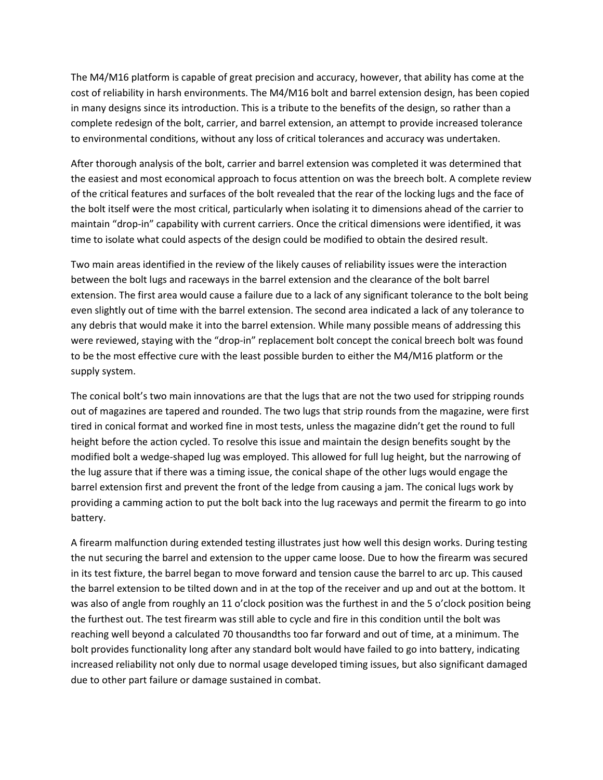The M4/M16 platform is capable of great precision and accuracy, however, that ability has come at the cost of reliability in harsh environments. The M4/M16 bolt and barrel extension design, has been copied in many designs since its introduction. This is a tribute to the benefits of the design, so rather than a complete redesign of the bolt, carrier, and barrel extension, an attempt to provide increased tolerance to environmental conditions, without any loss of critical tolerances and accuracy was undertaken.

After thorough analysis of the bolt, carrier and barrel extension was completed it was determined that the easiest and most economical approach to focus attention on was the breech bolt. A complete review of the critical features and surfaces of the bolt revealed that the rear of the locking lugs and the face of the bolt itself were the most critical, particularly when isolating it to dimensions ahead of the carrier to maintain "drop-in" capability with current carriers. Once the critical dimensions were identified, it was time to isolate what could aspects of the design could be modified to obtain the desired result.

Two main areas identified in the review of the likely causes of reliability issues were the interaction between the bolt lugs and raceways in the barrel extension and the clearance of the bolt barrel extension. The first area would cause a failure due to a lack of any significant tolerance to the bolt being even slightly out of time with the barrel extension. The second area indicated a lack of any tolerance to any debris that would make it into the barrel extension. While many possible means of addressing this were reviewed, staying with the "drop-in" replacement bolt concept the conical breech bolt was found to be the most effective cure with the least possible burden to either the M4/M16 platform or the supply system.

The conical bolt's two main innovations are that the lugs that are not the two used for stripping rounds out of magazines are tapered and rounded. The two lugs that strip rounds from the magazine, were first tired in conical format and worked fine in most tests, unless the magazine didn't get the round to full height before the action cycled. To resolve this issue and maintain the design benefits sought by the modified bolt a wedge-shaped lug was employed. This allowed for full lug height, but the narrowing of the lug assure that if there was a timing issue, the conical shape of the other lugs would engage the barrel extension first and prevent the front of the ledge from causing a jam. The conical lugs work by providing a camming action to put the bolt back into the lug raceways and permit the firearm to go into battery.

A firearm malfunction during extended testing illustrates just how well this design works. During testing the nut securing the barrel and extension to the upper came loose. Due to how the firearm was secured in its test fixture, the barrel began to move forward and tension cause the barrel to arc up. This caused the barrel extension to be tilted down and in at the top of the receiver and up and out at the bottom. It was also of angle from roughly an 11 o'clock position was the furthest in and the 5 o'clock position being the furthest out. The test firearm was still able to cycle and fire in this condition until the bolt was reaching well beyond a calculated 70 thousandths too far forward and out of time, at a minimum. The bolt provides functionality long after any standard bolt would have failed to go into battery, indicating increased reliability not only due to normal usage developed timing issues, but also significant damaged due to other part failure or damage sustained in combat.